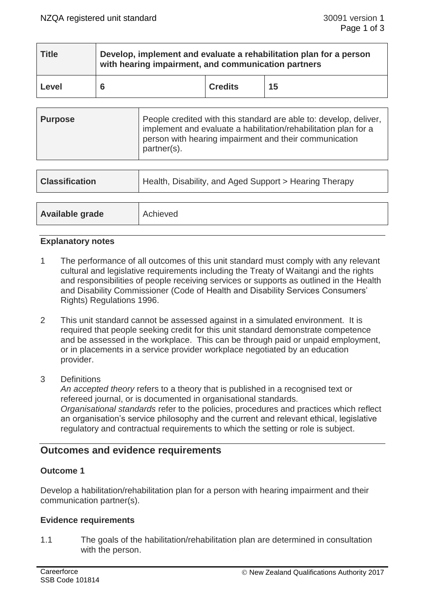| <b>Title</b> | Develop, implement and evaluate a rehabilitation plan for a person<br>with hearing impairment, and communication partners |                |    |  |
|--------------|---------------------------------------------------------------------------------------------------------------------------|----------------|----|--|
| Level        |                                                                                                                           | <b>Credits</b> | 15 |  |

| <b>Purpose</b> | People credited with this standard are able to: develop, deliver,<br>implement and evaluate a habilitation/rehabilitation plan for a<br>person with hearing impairment and their communication<br>partner(s). |
|----------------|---------------------------------------------------------------------------------------------------------------------------------------------------------------------------------------------------------------|
|----------------|---------------------------------------------------------------------------------------------------------------------------------------------------------------------------------------------------------------|

| <b>Classification</b> | Health, Disability, and Aged Support > Hearing Therapy |  |
|-----------------------|--------------------------------------------------------|--|
|                       |                                                        |  |
| Available grade       | Achieved                                               |  |

## **Explanatory notes**

- 1 The performance of all outcomes of this unit standard must comply with any relevant cultural and legislative requirements including the Treaty of Waitangi and the rights and responsibilities of people receiving services or supports as outlined in the Health and Disability Commissioner (Code of Health and Disability Services Consumers' Rights) Regulations 1996.
- 2 This unit standard cannot be assessed against in a simulated environment. It is required that people seeking credit for this unit standard demonstrate competence and be assessed in the workplace. This can be through paid or unpaid employment, or in placements in a service provider workplace negotiated by an education provider.
- 3 Definitions

*An accepted theory* refers to a theory that is published in a recognised text or refereed journal, or is documented in organisational standards. *Organisational standards* refer to the policies, procedures and practices which reflect an organisation's service philosophy and the current and relevant ethical, legislative regulatory and contractual requirements to which the setting or role is subject.

# **Outcomes and evidence requirements**

## **Outcome 1**

Develop a habilitation/rehabilitation plan for a person with hearing impairment and their communication partner(s).

### **Evidence requirements**

1.1 The goals of the habilitation/rehabilitation plan are determined in consultation with the person.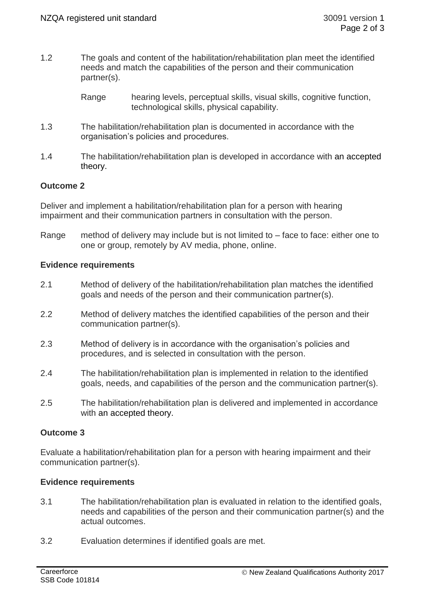- 1.2 The goals and content of the habilitation/rehabilitation plan meet the identified needs and match the capabilities of the person and their communication partner(s).
	- Range hearing levels, perceptual skills, visual skills, cognitive function, technological skills, physical capability.
- 1.3 The habilitation/rehabilitation plan is documented in accordance with the organisation's policies and procedures.
- 1.4 The habilitation/rehabilitation plan is developed in accordance with an accepted theory.

## **Outcome 2**

Deliver and implement a habilitation/rehabilitation plan for a person with hearing impairment and their communication partners in consultation with the person.

Range method of delivery may include but is not limited to – face to face: either one to one or group, remotely by AV media, phone, online.

### **Evidence requirements**

- 2.1 Method of delivery of the habilitation/rehabilitation plan matches the identified goals and needs of the person and their communication partner(s).
- 2.2 Method of delivery matches the identified capabilities of the person and their communication partner(s).
- 2.3 Method of delivery is in accordance with the organisation's policies and procedures, and is selected in consultation with the person.
- 2.4 The habilitation/rehabilitation plan is implemented in relation to the identified goals, needs, and capabilities of the person and the communication partner(s).
- 2.5 The habilitation/rehabilitation plan is delivered and implemented in accordance with an accepted theory.

### **Outcome 3**

Evaluate a habilitation/rehabilitation plan for a person with hearing impairment and their communication partner(s).

### **Evidence requirements**

- 3.1 The habilitation/rehabilitation plan is evaluated in relation to the identified goals, needs and capabilities of the person and their communication partner(s) and the actual outcomes.
- 3.2 Evaluation determines if identified goals are met.